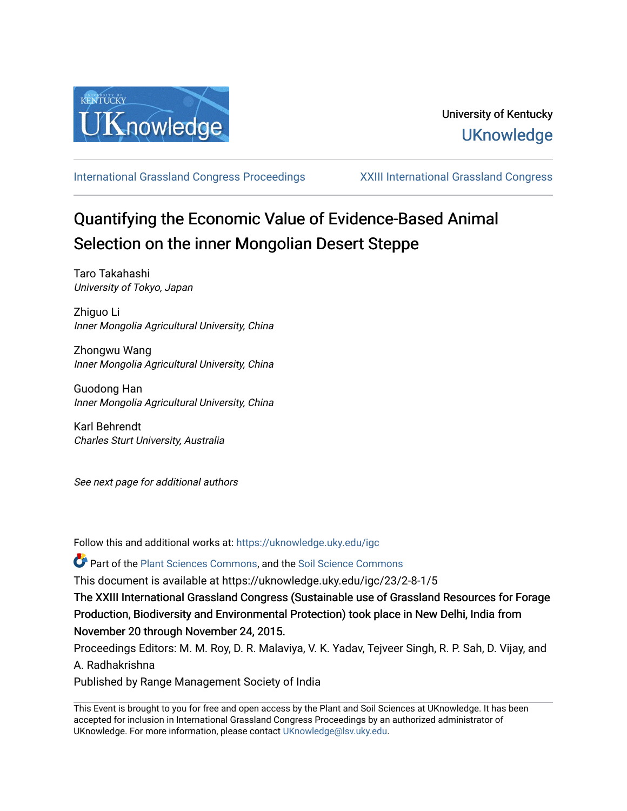

[International Grassland Congress Proceedings](https://uknowledge.uky.edu/igc) [XXIII International Grassland Congress](https://uknowledge.uky.edu/igc/23) 

# Quantifying the Economic Value of Evidence-Based Animal Selection on the inner Mongolian Desert Steppe

Taro Takahashi University of Tokyo, Japan

Zhiguo Li Inner Mongolia Agricultural University, China

Zhongwu Wang Inner Mongolia Agricultural University, China

Guodong Han Inner Mongolia Agricultural University, China

Karl Behrendt Charles Sturt University, Australia

See next page for additional authors

Follow this and additional works at: [https://uknowledge.uky.edu/igc](https://uknowledge.uky.edu/igc?utm_source=uknowledge.uky.edu%2Figc%2F23%2F2-8-1%2F5&utm_medium=PDF&utm_campaign=PDFCoverPages) 

Part of the [Plant Sciences Commons](http://network.bepress.com/hgg/discipline/102?utm_source=uknowledge.uky.edu%2Figc%2F23%2F2-8-1%2F5&utm_medium=PDF&utm_campaign=PDFCoverPages), and the [Soil Science Commons](http://network.bepress.com/hgg/discipline/163?utm_source=uknowledge.uky.edu%2Figc%2F23%2F2-8-1%2F5&utm_medium=PDF&utm_campaign=PDFCoverPages) 

This document is available at https://uknowledge.uky.edu/igc/23/2-8-1/5

The XXIII International Grassland Congress (Sustainable use of Grassland Resources for Forage Production, Biodiversity and Environmental Protection) took place in New Delhi, India from November 20 through November 24, 2015.

Proceedings Editors: M. M. Roy, D. R. Malaviya, V. K. Yadav, Tejveer Singh, R. P. Sah, D. Vijay, and A. Radhakrishna

Published by Range Management Society of India

This Event is brought to you for free and open access by the Plant and Soil Sciences at UKnowledge. It has been accepted for inclusion in International Grassland Congress Proceedings by an authorized administrator of UKnowledge. For more information, please contact [UKnowledge@lsv.uky.edu](mailto:UKnowledge@lsv.uky.edu).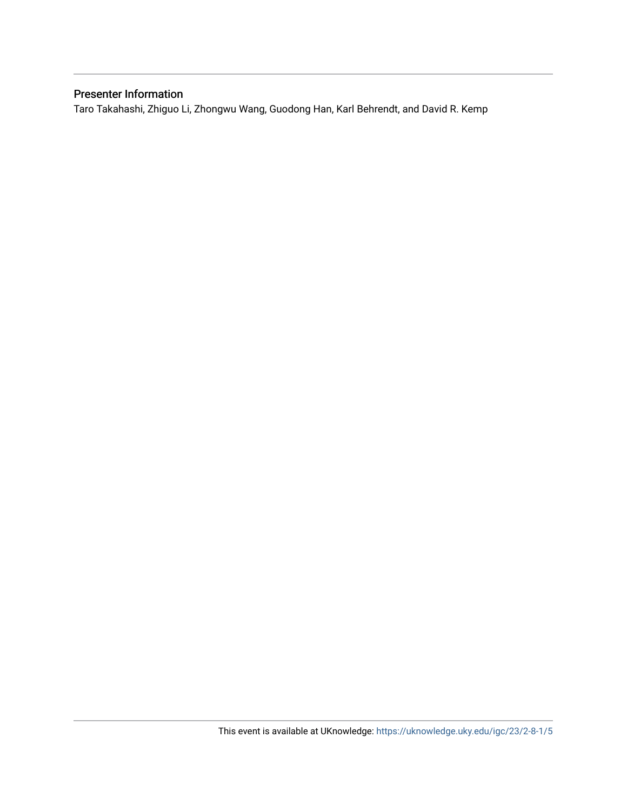# Presenter Information

Taro Takahashi, Zhiguo Li, Zhongwu Wang, Guodong Han, Karl Behrendt, and David R. Kemp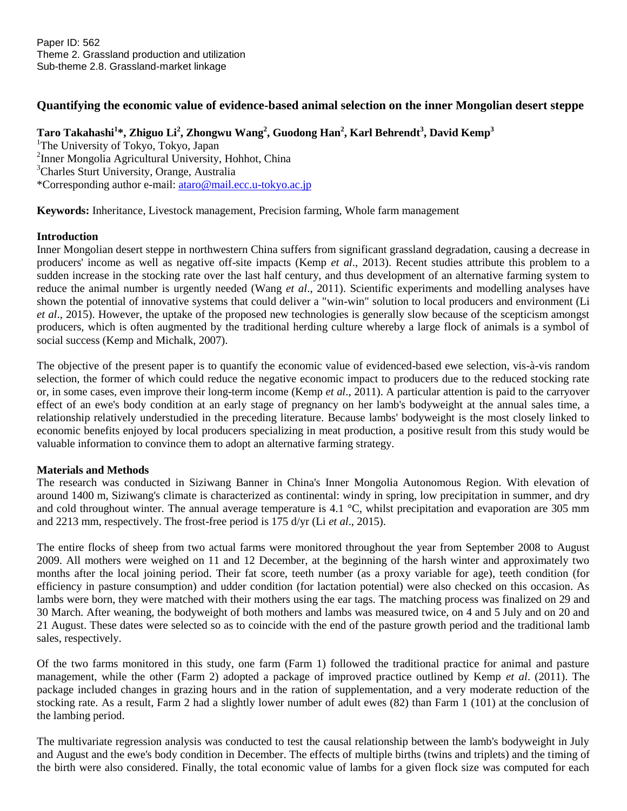# **Quantifying the economic value of evidence-based animal selection on the inner Mongolian desert steppe**

# **Taro Takahashi<sup>1</sup> \*, Zhiguo Li<sup>2</sup> , Zhongwu Wang<sup>2</sup> , Guodong Han<sup>2</sup> , Karl Behrendt<sup>3</sup> , David Kemp<sup>3</sup>**

<sup>1</sup>The University of Tokyo, Tokyo, Japan 2 Inner Mongolia Agricultural University, Hohhot, China <sup>3</sup>Charles Sturt University, Orange, Australia \*Corresponding author e-mail: [ataro@mail.ecc.u-tokyo.ac.jp](mailto:ataro@mail.ecc.u-tokyo.ac.jp)

**Keywords:** Inheritance, Livestock management, Precision farming, Whole farm management

## **Introduction**

Inner Mongolian desert steppe in northwestern China suffers from significant grassland degradation, causing a decrease in producers' income as well as negative off-site impacts (Kemp *et al*., 2013). Recent studies attribute this problem to a sudden increase in the stocking rate over the last half century, and thus development of an alternative farming system to reduce the animal number is urgently needed (Wang *et al*., 2011). Scientific experiments and modelling analyses have shown the potential of innovative systems that could deliver a "win-win" solution to local producers and environment (Li *et al*., 2015). However, the uptake of the proposed new technologies is generally slow because of the scepticism amongst producers, which is often augmented by the traditional herding culture whereby a large flock of animals is a symbol of social success (Kemp and Michalk, 2007).

The objective of the present paper is to quantify the economic value of evidenced-based ewe selection, vis-à-vis random selection, the former of which could reduce the negative economic impact to producers due to the reduced stocking rate or, in some cases, even improve their long-term income (Kemp *et al*., 2011). A particular attention is paid to the carryover effect of an ewe's body condition at an early stage of pregnancy on her lamb's bodyweight at the annual sales time, a relationship relatively understudied in the preceding literature. Because lambs' bodyweight is the most closely linked to economic benefits enjoyed by local producers specializing in meat production, a positive result from this study would be valuable information to convince them to adopt an alternative farming strategy.

## **Materials and Methods**

The research was conducted in Siziwang Banner in China's Inner Mongolia Autonomous Region. With elevation of around 1400 m, Siziwang's climate is characterized as continental: windy in spring, low precipitation in summer, and dry and cold throughout winter. The annual average temperature is 4.1 °C, whilst precipitation and evaporation are 305 mm and 2213 mm, respectively. The frost-free period is 175 d/yr (Li *et al*., 2015).

The entire flocks of sheep from two actual farms were monitored throughout the year from September 2008 to August 2009. All mothers were weighed on 11 and 12 December, at the beginning of the harsh winter and approximately two months after the local joining period. Their fat score, teeth number (as a proxy variable for age), teeth condition (for efficiency in pasture consumption) and udder condition (for lactation potential) were also checked on this occasion. As lambs were born, they were matched with their mothers using the ear tags. The matching process was finalized on 29 and 30 March. After weaning, the bodyweight of both mothers and lambs was measured twice, on 4 and 5 July and on 20 and 21 August. These dates were selected so as to coincide with the end of the pasture growth period and the traditional lamb sales, respectively.

Of the two farms monitored in this study, one farm (Farm 1) followed the traditional practice for animal and pasture management, while the other (Farm 2) adopted a package of improved practice outlined by Kemp *et al*. (2011). The package included changes in grazing hours and in the ration of supplementation, and a very moderate reduction of the stocking rate. As a result, Farm 2 had a slightly lower number of adult ewes (82) than Farm 1 (101) at the conclusion of the lambing period.

The multivariate regression analysis was conducted to test the causal relationship between the lamb's bodyweight in July and August and the ewe's body condition in December. The effects of multiple births (twins and triplets) and the timing of the birth were also considered. Finally, the total economic value of lambs for a given flock size was computed for each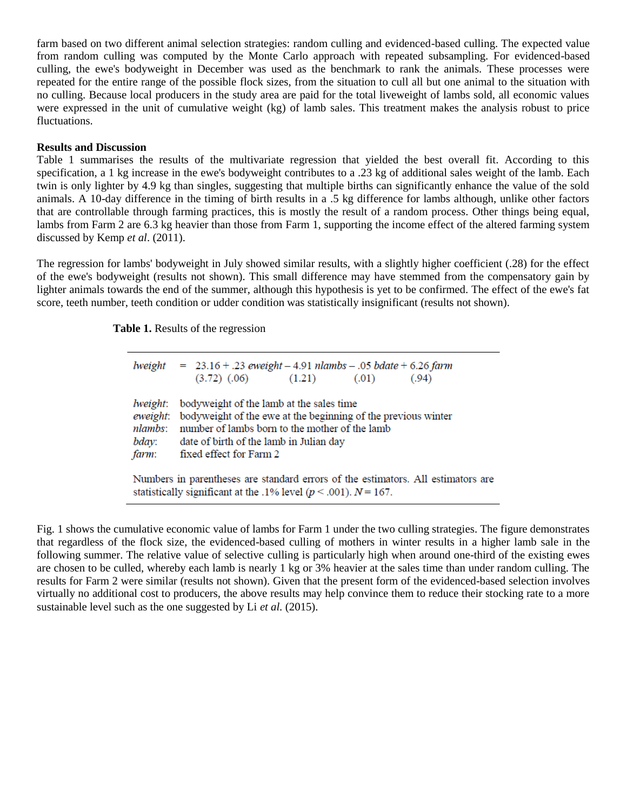farm based on two different animal selection strategies: random culling and evidenced-based culling. The expected value from random culling was computed by the Monte Carlo approach with repeated subsampling. For evidenced-based culling, the ewe's bodyweight in December was used as the benchmark to rank the animals. These processes were repeated for the entire range of the possible flock sizes, from the situation to cull all but one animal to the situation with no culling. Because local producers in the study area are paid for the total liveweight of lambs sold, all economic values were expressed in the unit of cumulative weight (kg) of lamb sales. This treatment makes the analysis robust to price fluctuations.

## **Results and Discussion**

Table 1 summarises the results of the multivariate regression that yielded the best overall fit. According to this specification, a 1 kg increase in the ewe's bodyweight contributes to a .23 kg of additional sales weight of the lamb. Each twin is only lighter by 4.9 kg than singles, suggesting that multiple births can significantly enhance the value of the sold animals. A 10-day difference in the timing of birth results in a .5 kg difference for lambs although, unlike other factors that are controllable through farming practices, this is mostly the result of a random process. Other things being equal, lambs from Farm 2 are 6.3 kg heavier than those from Farm 1, supporting the income effect of the altered farming system discussed by Kemp *et al*. (2011).

The regression for lambs' bodyweight in July showed similar results, with a slightly higher coefficient (.28) for the effect of the ewe's bodyweight (results not shown). This small difference may have stemmed from the compensatory gain by lighter animals towards the end of the summer, although this hypothesis is yet to be confirmed. The effect of the ewe's fat score, teeth number, teeth condition or udder condition was statistically insignificant (results not shown).

 **Table 1.** Results of the regression

| lweight                                                                                                                                                    | $= 23.16 + .23$ eweight $- 4.91$ nlambs $- .05$ bdate $+ 6.26$ farm<br>$(3.72)$ $(.06)$<br>(1.21)<br>(.01)<br>(.94)                                                                                                               |
|------------------------------------------------------------------------------------------------------------------------------------------------------------|-----------------------------------------------------------------------------------------------------------------------------------------------------------------------------------------------------------------------------------|
| lweight:<br>eweight:<br>nlambs:<br>bday:<br>farm:                                                                                                          | bodyweight of the lamb at the sales time<br>bodyweight of the ewe at the beginning of the previous winter<br>number of lambs born to the mother of the lamb<br>date of birth of the lamb in Julian day<br>fixed effect for Farm 2 |
| Numbers in parentheses are standard errors of the estimators. All estimators are<br>statistically significant at the .1% level ( $p < .001$ ). $N = 167$ . |                                                                                                                                                                                                                                   |

Fig. 1 shows the cumulative economic value of lambs for Farm 1 under the two culling strategies. The figure demonstrates that regardless of the flock size, the evidenced-based culling of mothers in winter results in a higher lamb sale in the following summer. The relative value of selective culling is particularly high when around one-third of the existing ewes are chosen to be culled, whereby each lamb is nearly 1 kg or 3% heavier at the sales time than under random culling. The results for Farm 2 were similar (results not shown). Given that the present form of the evidenced-based selection involves virtually no additional cost to producers, the above results may help convince them to reduce their stocking rate to a more sustainable level such as the one suggested by Li *et al.* (2015).